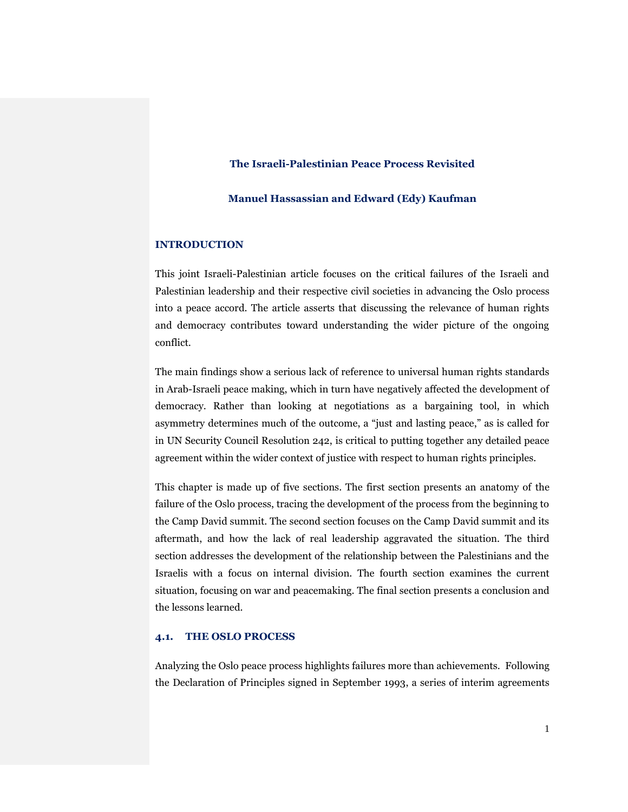# **The Israeli-Palestinian Peace Process Revisited**

## **Manuel Hassassian and Edward (Edy) Kaufman**

## **INTRODUCTION**

This joint Israeli-Palestinian article focuses on the critical failures of the Israeli and Palestinian leadership and their respective civil societies in advancing the Oslo process into a peace accord. The article asserts that discussing the relevance of human rights and democracy contributes toward understanding the wider picture of the ongoing conflict.

The main findings show a serious lack of reference to universal human rights standards in Arab-Israeli peace making, which in turn have negatively affected the development of democracy. Rather than looking at negotiations as a bargaining tool, in which asymmetry determines much of the outcome, a "just and lasting peace," as is called for in UN Security Council Resolution 242, is critical to putting together any detailed peace agreement within the wider context of justice with respect to human rights principles.

This chapter is made up of five sections. The first section presents an anatomy of the failure of the Oslo process, tracing the development of the process from the beginning to the Camp David summit. The second section focuses on the Camp David summit and its aftermath, and how the lack of real leadership aggravated the situation. The third section addresses the development of the relationship between the Palestinians and the Israelis with a focus on internal division. The fourth section examines the current situation, focusing on war and peacemaking. The final section presents a conclusion and the lessons learned.

# **4.1. THE OSLO PROCESS**

Analyzing the Oslo peace process highlights failures more than achievements. Following the Declaration of Principles signed in September 1993, a series of interim agreements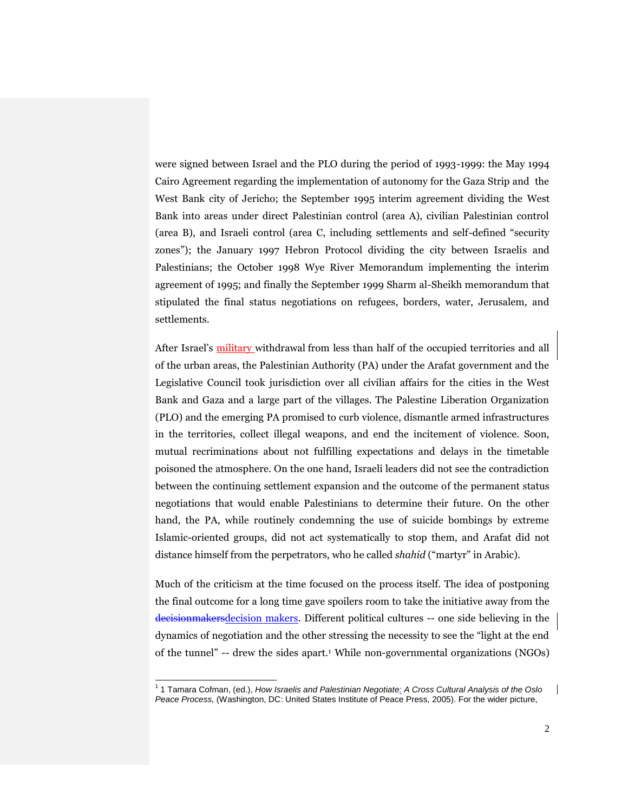were signed between Israel and the PLO during the period of 1993-1999: the May 1994 Cairo Agreement regarding the implementation of autonomy for the Gaza Strip and the West Bank city of Jericho; the September 1995 interim agreement dividing the West Bank into areas under direct Palestinian control (area A), civilian Palestinian control (area B), and Israeli control (area C, including settlements and self-defined "security zones"); the January 1997 Hebron Protocol dividing the city between Israelis and Palestinians; the October 1998 Wye River Memorandum implementing the interim agreement of 1995; and finally the September 1999 Sharm al-Sheikh memorandum that stipulated the final status negotiations on refugees, borders, water, Jerusalem, and settlements.

After Israel's military withdrawal from less than half of the occupied territories and all of the urban areas, the Palestinian Authority (PA) under the Arafat government and the Legislative Council took jurisdiction over all civilian affairs for the cities in the West Bank and Gaza and a large part of the villages. The Palestine Liberation Organization (PLO) and the emerging PA promised to curb violence, dismantle armed infrastructures in the territories, collect illegal weapons, and end the incitement of violence. Soon, mutual recriminations about not fulfilling expectations and delays in the timetable poisoned the atmosphere. On the one hand, Israeli leaders did not see the contradiction between the continuing settlement expansion and the outcome of the permanent status negotiations that would enable Palestinians to determine their future. On the other hand, the PA, while routinely condemning the use of suicide bombings by extreme Islamic-oriented groups, did not act systematically to stop them, and Arafat did not distance himself from the perpetrators, who he called *shahid* ("martyr" in Arabic).

Much of the criticism at the time focused on the process itself. The idea of postponing the final outcome for a long time gave spoilers room to take the initiative away from the decisionmakersdecision makers. Different political cultures -- one side believing in the dynamics of negotiation and the other stressing the necessity to see the "light at the end of the tunnel" -- drew the sides apart.<sup>1</sup> While non-governmental organizations (NGOs)

<sup>1</sup> 1 Tamara Cofman, (ed.), *How Israelis and Palestinian Negotiate: A Cross Cultural Analysis of the Oslo Peace Process,* (Washington, DC: United States Institute of Peace Press, 2005). For the wider picture,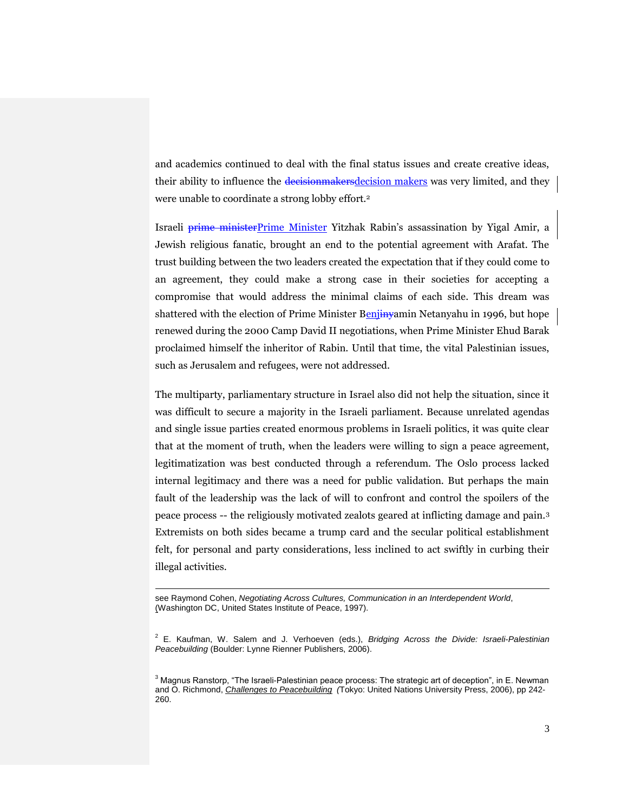and academics continued to deal with the final status issues and create creative ideas, their ability to influence the decisionmakers decision makers was very limited, and they were unable to coordinate a strong lobby effort.<sup>2</sup>

Israeli prime ministerPrime Minister Yitzhak Rabin's assassination by Yigal Amir, a Jewish religious fanatic, brought an end to the potential agreement with Arafat. The trust building between the two leaders created the expectation that if they could come to an agreement, they could make a strong case in their societies for accepting a compromise that would address the minimal claims of each side. This dream was shattered with the election of Prime Minister Benjinyamin Netanyahu in 1996, but hope renewed during the 2000 Camp David II negotiations, when Prime Minister Ehud Barak proclaimed himself the inheritor of Rabin. Until that time, the vital Palestinian issues, such as Jerusalem and refugees, were not addressed.

The multiparty, parliamentary structure in Israel also did not help the situation, since it was difficult to secure a majority in the Israeli parliament. Because unrelated agendas and single issue parties created enormous problems in Israeli politics, it was quite clear that at the moment of truth, when the leaders were willing to sign a peace agreement, legitimatization was best conducted through a referendum. The Oslo process lacked internal legitimacy and there was a need for public validation. But perhaps the main fault of the leadership was the lack of will to confront and control the spoilers of the peace process -- the religiously motivated zealots geared at inflicting damage and pain.<sup>3</sup> Extremists on both sides became a trump card and the secular political establishment felt, for personal and party considerations, less inclined to act swiftly in curbing their illegal activities.

1

see Raymond Cohen, *Negotiating Across Cultures, Communication in an Interdependent World*, (Washington DC, United States Institute of Peace, 1997).

<sup>2</sup> E. Kaufman, W. Salem and J. Verhoeven (eds.), *Bridging Across the Divide: Israeli-Palestinian Peacebuilding* (Boulder: Lynne Rienner Publishers, 2006).

 $3$  Magnus Ranstorp, "The Israeli-Palestinian peace process: The strategic art of deception", in E. Newman and O. Richmond, *Challenges to Peacebuilding (*Tokyo: United Nations University Press, 2006), pp 242- 260.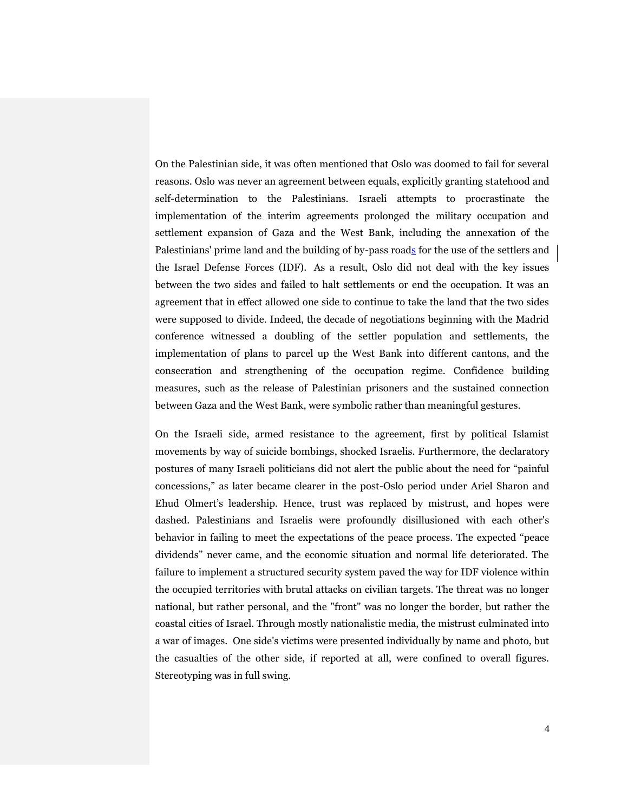On the Palestinian side, it was often mentioned that Oslo was doomed to fail for several reasons. Oslo was never an agreement between equals, explicitly granting statehood and self-determination to the Palestinians. Israeli attempts to procrastinate the implementation of the interim agreements prolonged the military occupation and settlement expansion of Gaza and the West Bank, including the annexation of the Palestinians' prime land and the building of by-pass roads for the use of the settlers and the Israel Defense Forces (IDF). As a result, Oslo did not deal with the key issues between the two sides and failed to halt settlements or end the occupation. It was an agreement that in effect allowed one side to continue to take the land that the two sides were supposed to divide. Indeed, the decade of negotiations beginning with the Madrid conference witnessed a doubling of the settler population and settlements, the implementation of plans to parcel up the West Bank into different cantons, and the consecration and strengthening of the occupation regime. Confidence building measures, such as the release of Palestinian prisoners and the sustained connection between Gaza and the West Bank, were symbolic rather than meaningful gestures.

On the Israeli side, armed resistance to the agreement, first by political Islamist movements by way of suicide bombings, shocked Israelis. Furthermore, the declaratory postures of many Israeli politicians did not alert the public about the need for "painful concessions," as later became clearer in the post-Oslo period under Ariel Sharon and Ehud Olmert's leadership. Hence, trust was replaced by mistrust, and hopes were dashed. Palestinians and Israelis were profoundly disillusioned with each other's behavior in failing to meet the expectations of the peace process. The expected "peace dividends" never came, and the economic situation and normal life deteriorated. The failure to implement a structured security system paved the way for IDF violence within the occupied territories with brutal attacks on civilian targets. The threat was no longer national, but rather personal, and the "front" was no longer the border, but rather the coastal cities of Israel. Through mostly nationalistic media, the mistrust culminated into a war of images. One side's victims were presented individually by name and photo, but the casualties of the other side, if reported at all, were confined to overall figures. Stereotyping was in full swing.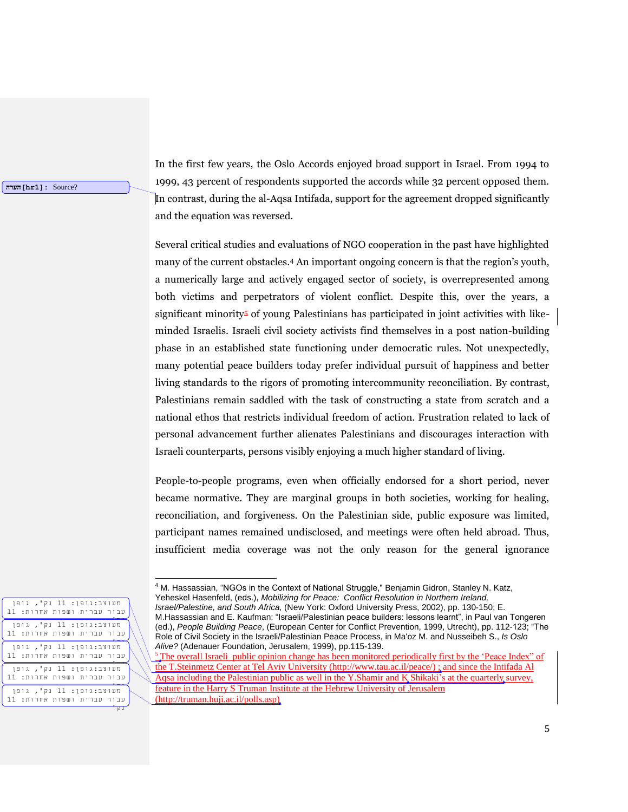**הערה]hr1]:** Source?

In the first few years, the Oslo Accords enjoyed broad support in Israel. From 1994 to 1999, 43 percent of respondents supported the accords while 32 percent opposed them. In contrast, during the al-Aqsa Intifada, support for the agreement dropped significantly and the equation was reversed.

Several critical studies and evaluations of NGO cooperation in the past have highlighted many of the current obstacles.<sup>4</sup> An important ongoing concern is that the region's youth, a numerically large and actively engaged sector of society, is overrepresented among both victims and perpetrators of violent conflict. Despite this, over the years, a significant minority<sup>5</sup> of young Palestinians has participated in joint activities with likeminded Israelis. Israeli civil society activists find themselves in a post nation-building phase in an established state functioning under democratic rules. Not unexpectedly, many potential peace builders today prefer individual pursuit of happiness and better living standards to the rigors of promoting intercommunity reconciliation*.* By contrast, Palestinians remain saddled with the task of constructing a state from scratch and a national ethos that restricts individual freedom of action. Frustration related to lack of personal advancement further alienates Palestinians and discourages interaction with Israeli counterparts, persons visibly enjoying a much higher standard of living.

People-to-people programs, even when officially endorsed for a short period, never became normative. They are marginal groups in both societies, working for healing, reconciliation, and forgiveness. On the Palestinian side, public exposure was limited, participant names remained undisclosed, and meetings were often held abroad. Thus, insufficient media coverage was not the only reason for the general ignorance

| מעוצב:גופן: 11 נק <b>',</b> גופן<br>עבור עברית ושפות אחרות: 11<br>מעוצב:גופן: 11 נק', גופן<br>עבור עברית ושפות אחרות: 11<br>מעוצב:גופן: 11 נק', גופן<br>עבור עברית ושפות אחרות: 11<br>מעוצב:גופן: 11 נק <b>',</b> גופן<br>עבור עברית ושפות אחרות: 11<br>מעוצב:גופן: 11 נק', גופן<br>עבור עברית ושפות אחרות: 11 |  |  |  |  |
|----------------------------------------------------------------------------------------------------------------------------------------------------------------------------------------------------------------------------------------------------------------------------------------------------------------|--|--|--|--|
|                                                                                                                                                                                                                                                                                                                |  |  |  |  |
|                                                                                                                                                                                                                                                                                                                |  |  |  |  |
|                                                                                                                                                                                                                                                                                                                |  |  |  |  |
|                                                                                                                                                                                                                                                                                                                |  |  |  |  |
|                                                                                                                                                                                                                                                                                                                |  |  |  |  |

<sup>&</sup>lt;sup>4</sup> M. Hassassian, "NGOs in the Context of National Struggle," Benjamin Gidron, Stanley N. Katz, Yeheskel Hasenfeld, (eds.), *Mobilizing for Peace: Conflict Resolution in Northern Ireland,* 

*Israel/Palestine, and South Africa,* (New York: Oxford University Press, 2002), pp. 130-150; E. M.Hassassian and E. Kaufman: "Israeli/Palestinian peace builders: lessons learnt", in Paul van Tongeren (ed.), *People Building Peace*, (European Center for Conflict Prevention, 1999, Utrecht), pp. 112-123; "The Role of Civil Society in the Israeli/Palestinian Peace Process, in Ma'oz M. and Nusseibeh S., *Is Oslo Alive?* (Adenauer Foundation, Jerusalem, 1999), pp.115-139.

<sup>5</sup> The overall Israeli public opinion change has been monitored periodically first by the 'Peace Index" of the T.Steinmetz Center at Tel Aviv University [\(http://www.tau.ac.il/peace/\)](http://www.tau.ac.il/peace/) ; and since the Intifada Al Aqsa including the Palestinian public as well in the Y.Shamir and K.Shikaki's at the quarterly survey, feature in the Harry S Truman Institute at the Hebrew University of Jerusalem (http://truman.huji.ac.il/polls.asp)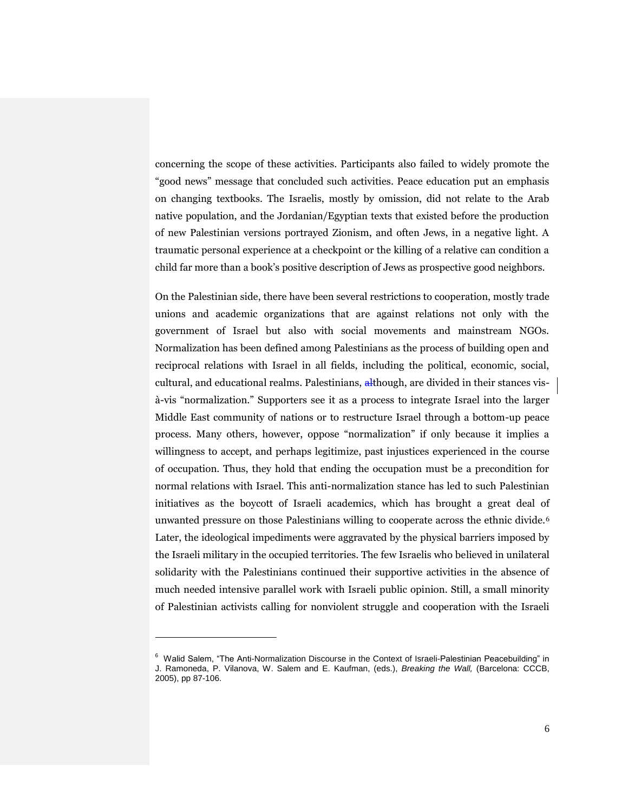concerning the scope of these activities. Participants also failed to widely promote the "good news" message that concluded such activities. Peace education put an emphasis on changing textbooks. The Israelis, mostly by omission, did not relate to the Arab native population, and the Jordanian/Egyptian texts that existed before the production of new Palestinian versions portrayed Zionism, and often Jews, in a negative light. A traumatic personal experience at a checkpoint or the killing of a relative can condition a child far more than a book's positive description of Jews as prospective good neighbors.

On the Palestinian side, there have been several restrictions to cooperation, mostly trade unions and academic organizations that are against relations not only with the government of Israel but also with social movements and mainstream NGOs. Normalization has been defined among Palestinians as the process of building open and reciprocal relations with Israel in all fields, including the political, economic, social, cultural, and educational realms. Palestinians, although, are divided in their stances visà-vis "normalization." Supporters see it as a process to integrate Israel into the larger Middle East community of nations or to restructure Israel through a bottom-up peace process. Many others, however, oppose "normalization" if only because it implies a willingness to accept, and perhaps legitimize, past injustices experienced in the course of occupation. Thus, they hold that ending the occupation must be a precondition for normal relations with Israel. This anti-normalization stance has led to such Palestinian initiatives as the boycott of Israeli academics, which has brought a great deal of unwanted pressure on those Palestinians willing to cooperate across the ethnic divide.<sup>6</sup> Later, the ideological impediments were aggravated by the physical barriers imposed by the Israeli military in the occupied territories. The few Israelis who believed in unilateral solidarity with the Palestinians continued their supportive activities in the absence of much needed intensive parallel work with Israeli public opinion. Still, a small minority of Palestinian activists calling for nonviolent struggle and cooperation with the Israeli

<sup>&</sup>lt;sup>6</sup> Walid Salem, "The Anti-Normalization Discourse in the Context of Israeli-Palestinian Peacebuilding" in J. Ramoneda, P. Vilanova, W. Salem and E. Kaufman, (eds.), *Breaking the Wall,* (Barcelona: CCCB, 2005), pp 87-106.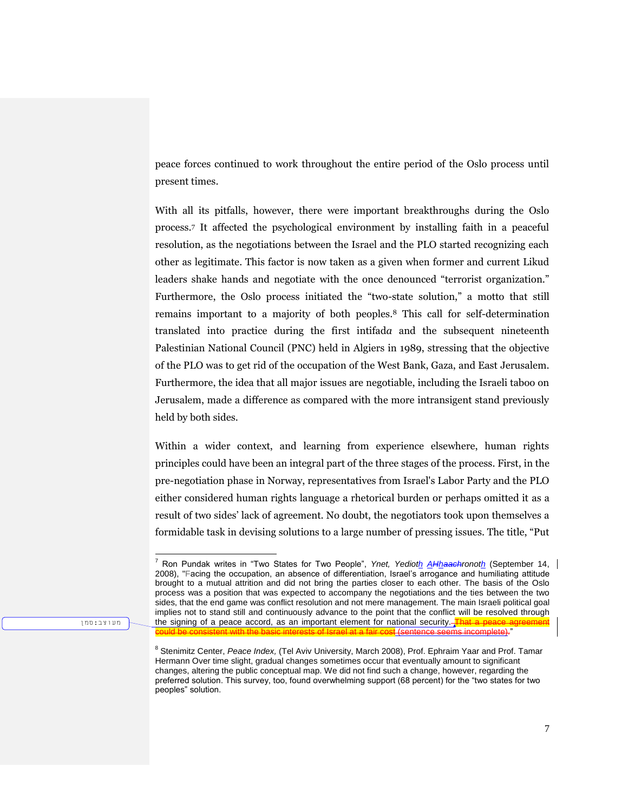peace forces continued to work throughout the entire period of the Oslo process until present times.

With all its pitfalls, however, there were important breakthroughs during the Oslo process.<sup>7</sup> It affected the psychological environment by installing faith in a peaceful resolution, as the negotiations between the Israel and the PLO started recognizing each other as legitimate. This factor is now taken as a given when former and current Likud leaders shake hands and negotiate with the once denounced "terrorist organization." Furthermore, the Oslo process initiated the "two-state solution," a motto that still remains important to a majority of both peoples.<sup>8</sup> This call for self-determination translated into practice during the first intifad*a* and the subsequent nineteenth Palestinian National Council (PNC) held in Algiers in 1989, stressing that the objective of the PLO was to get rid of the occupation of the West Bank, Gaza, and East Jerusalem. Furthermore, the idea that all major issues are negotiable, including the Israeli taboo on Jerusalem, made a difference as compared with the more intransigent stand previously held by both sides.

Within a wider context, and learning from experience elsewhere, human rights principles could have been an integral part of the three stages of the process. First, in the pre-negotiation phase in Norway, representatives from Israel's Labor Party and the PLO either considered human rights language a rhetorical burden or perhaps omitted it as a result of two sides' lack of agreement. No doubt, the negotiators took upon themselves a formidable task in devising solutions to a large number of pressing issues. The title, "Put

מעוצב:סמן

<sup>7</sup> Ron Pundak writes in "Two States for Two People", *Ynet, Yedioth AHhaachronoth* (September 14, 2008), "Facing the occupation, an absence of differentiation, Israel's arrogance and humiliating attitude brought to a mutual attrition and did not bring the parties closer to each other. The basis of the Oslo process was a position that was expected to accompany the negotiations and the ties between the two sides, that the end game was conflict resolution and not mere management. The main Israeli political goal implies not to stand still and continuously advance to the point that the conflict will be resolved through the signing of a peace accord, as an important element for national security.  $\frac{1}{\sqrt{2}}$ could be consistent with the basic interests of Israel at a fair cost (sentence seems incomplete)."

<sup>&</sup>lt;sup>8</sup> Stenimitz Center, *Peace Index*, (Tel Aviv University, March 2008), Prof. Ephraim Yaar and Prof. Tamar Hermann Over time slight, gradual changes sometimes occur that eventually amount to significant changes, altering the public conceptual map. We did not find such a change, however, regarding the preferred solution. This survey, too, found overwhelming support (68 percent) for the "two states for two peoples" solution.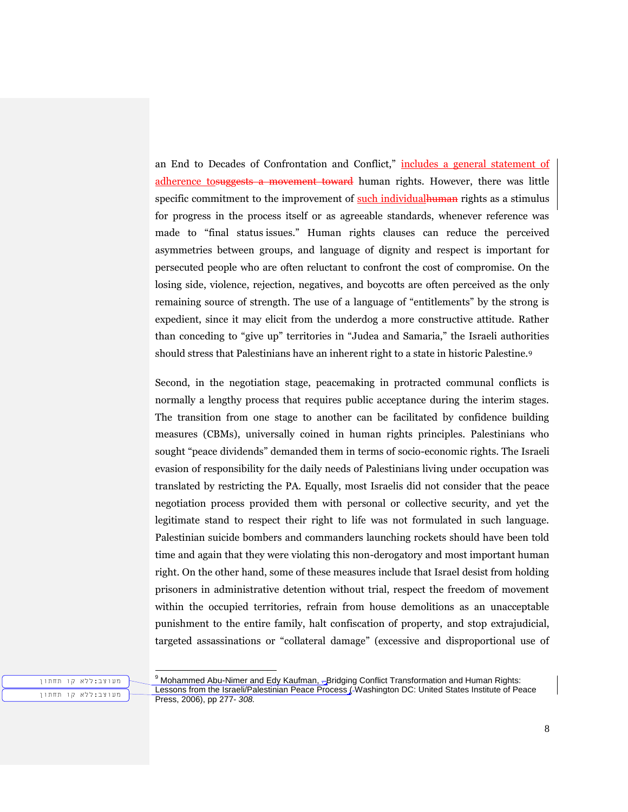an End to Decades of Confrontation and Conflict," includes a general statement of adherence to suggests a movement toward human rights. However, there was little specific commitment to the improvement of such individual human rights as a stimulus for progress in the process itself or as agreeable standards, whenever reference was made to "final status issues." Human rights clauses can reduce the perceived asymmetries between groups, and language of dignity and respect is important for persecuted people who are often reluctant to confront the cost of compromise. On the losing side, violence, rejection, negatives, and boycotts are often perceived as the only remaining source of strength. The use of a language of "entitlements" by the strong is expedient, since it may elicit from the underdog a more constructive attitude. Rather than conceding to "give up" territories in "Judea and Samaria," the Israeli authorities should stress that Palestinians have an inherent right to a state in historic Palestine.<sup>9</sup>

Second, in the negotiation stage, peacemaking in protracted communal conflicts is normally a lengthy process that requires public acceptance during the interim stages. The transition from one stage to another can be facilitated by confidence building measures (CBMs), universally coined in human rights principles. Palestinians who sought "peace dividends" demanded them in terms of socio-economic rights. The Israeli evasion of responsibility for the daily needs of Palestinians living under occupation was translated by restricting the PA. Equally, most Israelis did not consider that the peace negotiation process provided them with personal or collective security, and yet the legitimate stand to respect their right to life was not formulated in such language. Palestinian suicide bombers and commanders launching rockets should have been told time and again that they were violating this non-derogatory and most important human right. On the other hand, some of these measures include that Israel desist from holding prisoners in administrative detention without trial, respect the freedom of movement within the occupied territories, refrain from house demolitions as an unacceptable punishment to the entire family, halt confiscation of property, and stop extrajudicial, targeted assassinations or "collateral damage" (excessive and disproportional use of

מעוצב:ללא קו תחתון מעוצב:ללא קו תחתון

l  $9$  Mohammed Abu-Nimer and Edy Kaufman,  $\pm$ Bridging Conflict Transformation and Human Rights: Lessons from the Israeli/Palestinian Peace Process (-Washington DC: United States Institute of Peace Press, 2006), pp 277*- 308.*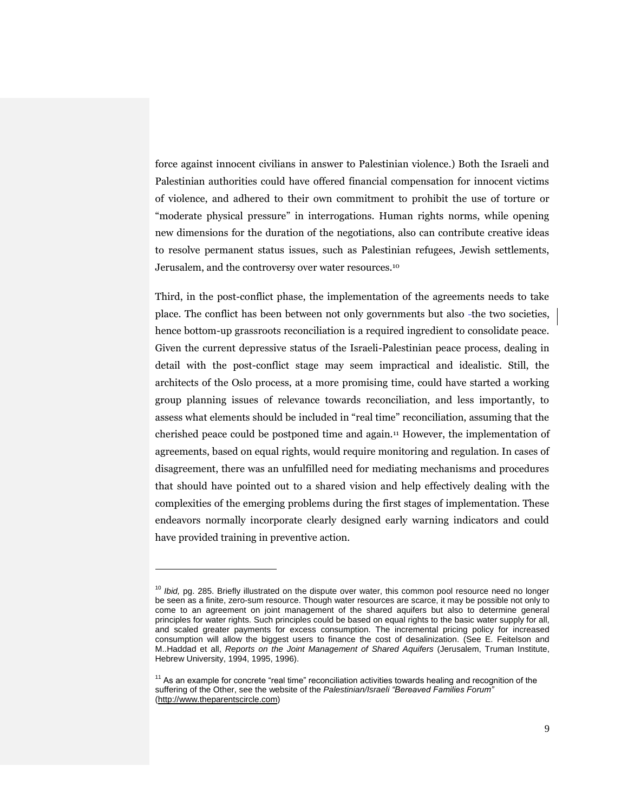force against innocent civilians in answer to Palestinian violence.) Both the Israeli and Palestinian authorities could have offered financial compensation for innocent victims of violence, and adhered to their own commitment to prohibit the use of torture or "moderate physical pressure" in interrogations. Human rights norms, while opening new dimensions for the duration of the negotiations, also can contribute creative ideas to resolve permanent status issues, such as Palestinian refugees, Jewish settlements, Jerusalem, and the controversy over water resources.<sup>10</sup>

Third, in the post-conflict phase, the implementation of the agreements needs to take place. The conflict has been between not only governments but also -the two societies, hence bottom-up grassroots reconciliation is a required ingredient to consolidate peace. Given the current depressive status of the Israeli-Palestinian peace process, dealing in detail with the post-conflict stage may seem impractical and idealistic. Still, the architects of the Oslo process, at a more promising time, could have started a working group planning issues of relevance towards reconciliation, and less importantly, to assess what elements should be included in "real time" reconciliation, assuming that the cherished peace could be postponed time and again.[11](https://webacc.bsos.umd.edu/gw/webacc/lo5vk9Sl8pi2bsfEq6/GWAP/HREF/?action=Attachment.View&Item.Attachment.id=1&User.context=lo5vk9Sl8pi2bsfEq6&Item.drn=554551z8z0#_ftn15) However, the implementation of agreements, based on equal rights, would require monitoring and regulation. In cases of disagreement, there was an unfulfilled need for mediating mechanisms and procedures that should have pointed out to a shared vision and help effectively dealing with the complexities of the emerging problems during the first stages of implementation. These endeavors normally incorporate clearly designed early warning indicators and could have provided training in preventive action.

<sup>&</sup>lt;sup>10</sup> *Ibid*, pg. 285. Briefly illustrated on the dispute over water, this common pool resource need no longer be seen as a finite, zero-sum resource. Though water resources are scarce, it may be possible not only to come to an agreement on joint management of the shared aquifers but also to determine general principles for water rights. Such principles could be based on equal rights to the basic water supply for all, and scaled greater payments for excess consumption. The incremental pricing policy for increased consumption will allow the biggest users to finance the cost of desalinization. (See E. Feitelson and M..Haddad et all, *Reports on the Joint Management of Shared Aquifers* (Jerusalem, Truman Institute, Hebrew University, 1994, 1995, 1996).

<sup>&</sup>lt;sup>11</sup> As an example for concrete "real time" reconciliation activities towards healing and recognition of the suffering of the Other, see the website of the *Palestinian/Israeli "Bereaved Families Forum"* [\(http://www.theparentscircle.com\)](http://www.theparentscircle.com/)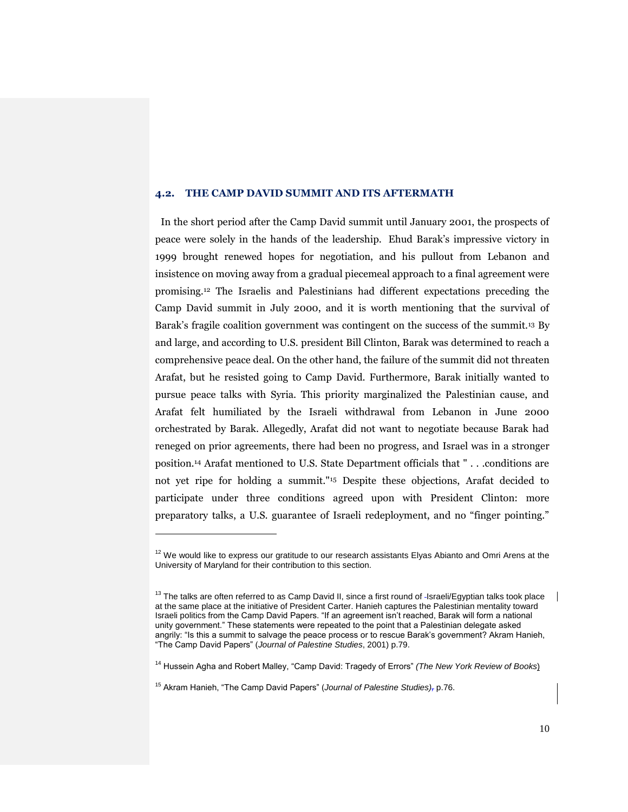# **4.2. THE CAMP DAVID SUMMIT AND ITS AFTERMATH**

In the short period after the Camp David summit until January 2001, the prospects of peace were solely in the hands of the leadership. Ehud Barak's impressive victory in 1999 brought renewed hopes for negotiation, and his pullout from Lebanon and insistence on moving away from a gradual piecemeal approach to a final agreement were promising.<sup>12</sup> The Israelis and Palestinians had different expectations preceding the Camp David summit in July 2000, and it is worth mentioning that the survival of Barak's fragile coalition government was contingent on the success of the summit.<sup>13</sup> By and large, and according to U.S. president Bill Clinton, Barak was determined to reach a comprehensive peace deal. On the other hand, the failure of the summit did not threaten Arafat, but he resisted going to Camp David. Furthermore, Barak initially wanted to pursue peace talks with Syria. This priority marginalized the Palestinian cause, and Arafat felt humiliated by the Israeli withdrawal from Lebanon in June 2000 orchestrated by Barak. Allegedly, Arafat did not want to negotiate because Barak had reneged on prior agreements, there had been no progress, and Israel was in a stronger position.[14](https://webacc.bsos.umd.edu/gw/webacc/lo5vk9Sl8pi2bsfEq6/GWAP/HREF/?action=Attachment.View&Item.Attachment.id=1&User.context=lo5vk9Sl8pi2bsfEq6&Item.drn=554551z8z0#_ftn20) Arafat mentioned to U.S. State Department officials that " . . .conditions are not yet ripe for holding a summit."<sup>15</sup> Despite these objections, Arafat decided to participate under three conditions agreed upon with President Clinton: more preparatory talks, a U.S. guarantee of Israeli redeployment, and no "finger pointing."

 $12$  We would like to express our gratitude to our research assistants Elyas Abianto and Omri Arens at the University of Maryland for their contribution to this section.

 $13$  The talks are often referred to as Camp David II, since a first round of -Israeli/Egyptian talks took place at the same place at the initiative of President Carter. Hanieh captures the Palestinian mentality toward Israeli politics from the Camp David Papers. "If an agreement isn't reached, Barak will form a national unity government." These statements were repeated to the point that a Palestinian delegate asked angrily: "Is this a summit to salvage the peace process or to rescue Barak's government? Akram Hanieh, "The Camp David Papers" (*Journal of Palestine Studies*, 2001) p.79.

<sup>14</sup> Hussein Agha and Robert Malley, "Camp David: Tragedy of Errors" *(The New York Review of Books*)

<sup>15</sup> Akram Hanieh, "The Camp David Papers" (*Journal of Palestine Studies),* p.76.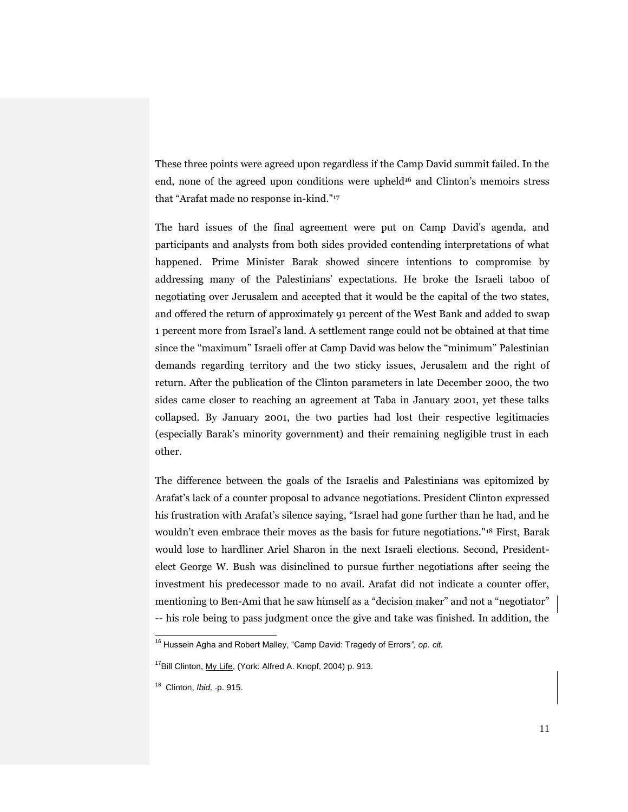These three points were agreed upon regardless if the Camp David summit failed. In the end, none of the agreed upon conditions were upheld $16$  and Clinton's memoirs stress that "Arafat made no response in-kind."<sup>17</sup>

The hard issues of the final agreement were put on Camp David's agenda, and participants and analysts from both sides provided contending interpretations of what happened. Prime Minister Barak showed sincere intentions to compromise by addressing many of the Palestinians' expectations. He broke the Israeli taboo of negotiating over Jerusalem and accepted that it would be the capital of the two states, and offered the return of approximately 91 percent of the West Bank and added to swap 1 percent more from Israel's land. A settlement range could not be obtained at that time since the "maximum" Israeli offer at Camp David was below the "minimum" Palestinian demands regarding territory and the two sticky issues, Jerusalem and the right of return. After the publication of the Clinton parameters in late December 2000, the two sides came closer to reaching an agreement at Taba in January 2001, yet these talks collapsed. By January 2001, the two parties had lost their respective legitimacies (especially Barak's minority government) and their remaining negligible trust in each other.

The difference between the goals of the Israelis and Palestinians was epitomized by Arafat's lack of a counter proposal to advance negotiations. President Clinton expressed his frustration with Arafat's silence saying, "Israel had gone further than he had, and he wouldn't even embrace their moves as the basis for future negotiations."[18](https://webacc.bsos.umd.edu/gw/webacc/lo5vk9Sl8pi2bsfEq6/GWAP/HREF/?action=Attachment.View&Item.Attachment.id=1&User.context=lo5vk9Sl8pi2bsfEq6&Item.drn=554551z8z0#_ftn24) First, Barak would lose to hardliner Ariel Sharon in the next Israeli elections. Second, Presidentelect George W. Bush was disinclined to pursue further negotiations after seeing the investment his predecessor made to no avail. Arafat did not indicate a counter offer, mentioning to Ben-Ami that he saw himself as a "decision maker" and not a "negotiator" -- his role being to pass judgment once the give and take was finished. In addition, the

<sup>16</sup> Hussein Agha and Robert Malley, "Camp David: Tragedy of Errors*", op. cit.*

<sup>&</sup>lt;sup>17</sup>Bill Clinton, My Life, (York: Alfred A. Knopf, 2004) p. 913.

<sup>&</sup>lt;sup>18</sup> Clinton, *Ibid*, -p. 915.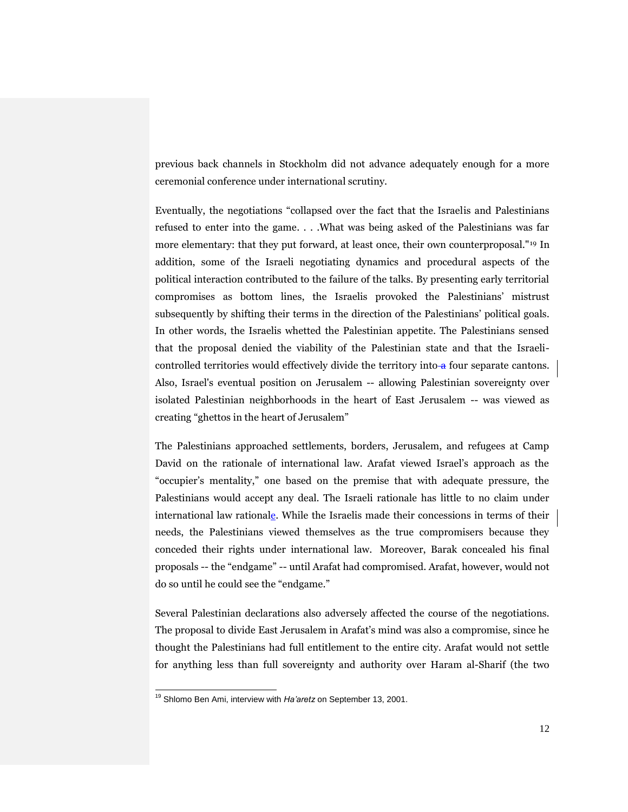previous back channels in Stockholm did not advance adequately enough for a more ceremonial conference under international scrutiny.

Eventually, the negotiations "collapsed over the fact that the Israelis and Palestinians refused to enter into the game. . . .What was being asked of the Palestinians was far more elementary: that they put forward, at least once, their own counterproposal."<sup>19</sup> In addition, some of the Israeli negotiating dynamics and procedural aspects of the political interaction contributed to the failure of the talks. By presenting early territorial compromises as bottom lines, the Israelis provoked the Palestinians' mistrust subsequently by shifting their terms in the direction of the Palestinians' political goals. In other words, the Israelis whetted the Palestinian appetite. The Palestinians sensed that the proposal denied the viability of the Palestinian state and that the Israelicontrolled territories would effectively divide the territory into  $\alpha$  four separate cantons. Also, Israel's eventual position on Jerusalem -- allowing Palestinian sovereignty over isolated Palestinian neighborhoods in the heart of East Jerusalem -- was viewed as creating "ghettos in the heart of Jerusalem"

The Palestinians approached settlements, borders, Jerusalem, and refugees at Camp David on the rationale of international law. Arafat viewed Israel's approach as the "occupier's mentality," one based on the premise that with adequate pressure, the Palestinians would accept any deal. The Israeli rationale has little to no claim under international law rationale. While the Israelis made their concessions in terms of their needs, the Palestinians viewed themselves as the true compromisers because they conceded their rights under international law. Moreover, Barak concealed his final proposals -- the "endgame" -- until Arafat had compromised. Arafat, however, would not do so until he could see the "endgame."

Several Palestinian declarations also adversely affected the course of the negotiations. The proposal to divide East Jerusalem in Arafat's mind was also a compromise, since he thought the Palestinians had full entitlement to the entire city. Arafat would not settle for anything less than full sovereignty and authority over Haram al-Sharif (the two

<sup>19</sup> Shlomo Ben Ami, interview with *Ha'aretz* on September 13, 2001.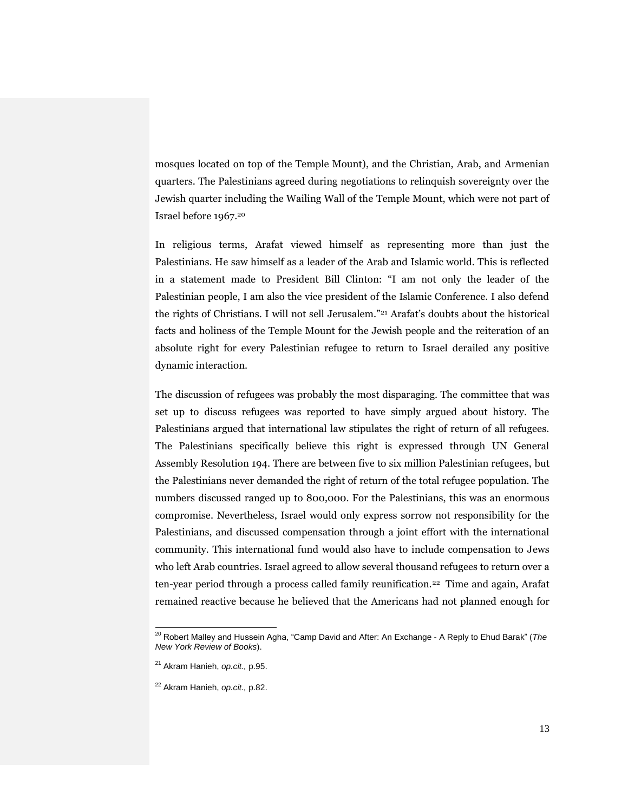mosques located on top of the Temple Mount), and the Christian, Arab, and Armenian quarters. The Palestinians agreed during negotiations to relinquish sovereignty over the Jewish quarter including the Wailing Wall of the Temple Mount, which were not part of Israel before 1967.<sup>20</sup>

In religious terms, Arafat viewed himself as representing more than just the Palestinians. He saw himself as a leader of the Arab and Islamic world. This is reflected in a statement made to President Bill Clinton: "I am not only the leader of the Palestinian people, I am also the vice president of the Islamic Conference. I also defend the rights of Christians. I will not sell Jerusalem."<sup>21</sup> Arafat's doubts about the historical facts and holiness of the Temple Mount for the Jewish people and the reiteration of an absolute right for every Palestinian refugee to return to Israel derailed any positive dynamic interaction.

The discussion of refugees was probably the most disparaging. The committee that was set up to discuss refugees was reported to have simply argued about history. The Palestinians argued that international law stipulates the right of return of all refugees. The Palestinians specifically believe this right is expressed through UN General Assembly Resolution 194. There are between five to six million Palestinian refugees, but the Palestinians never demanded the right of return of the total refugee population. The numbers discussed ranged up to 800,000. For the Palestinians, this was an enormous compromise. Nevertheless, Israel would only express sorrow not responsibility for the Palestinians, and discussed compensation through a joint effort with the international community. This international fund would also have to include compensation to Jews who left Arab countries. Israel agreed to allow several thousand refugees to return over a ten-year period through a process called family reunification.<sup>22</sup> Time and again, Arafat remained reactive because he believed that the Americans had not planned enough for

<sup>20</sup> Robert Malley and Hussein Agha, "Camp David and After: An Exchange - A Reply to Ehud Barak" (*The New York Review of Books*).

<sup>21</sup> Akram Hanieh, *op.cit.,* p.95.

<sup>22</sup> Akram Hanieh, *op.cit.,* p.82.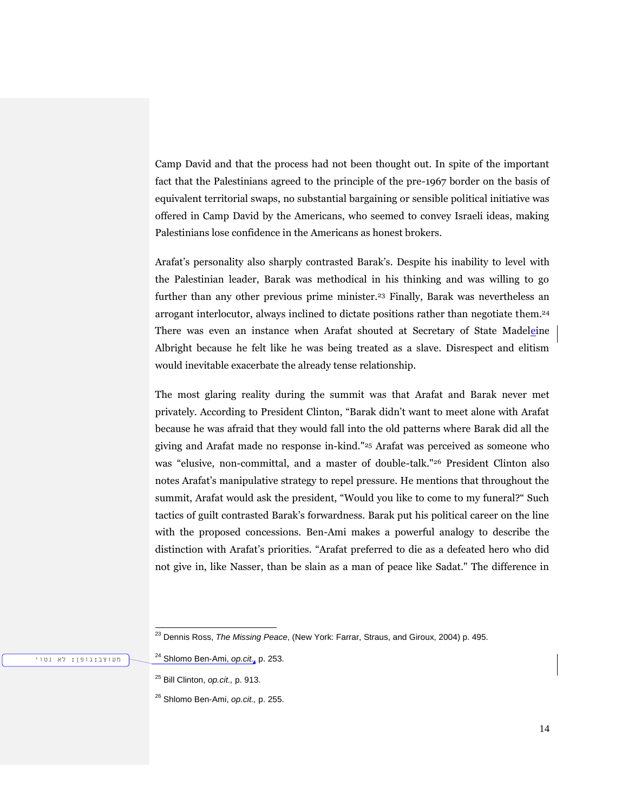Camp David and that the process had not been thought out. In spite of the important fact that the Palestinians agreed to the principle of the pre-1967 border on the basis of equivalent territorial swaps, no substantial bargaining or sensible political initiative was offered in Camp David by the Americans, who seemed to convey Israeli ideas, making Palestinians lose confidence in the Americans as honest brokers.

Arafat's personality also sharply contrasted Barak's. Despite his inability to level with the Palestinian leader, Barak was methodical in his thinking and was willing to go further than any other previous prime minister.<sup>23</sup> Finally, Barak was nevertheless an arrogant interlocutor, always inclined to dictate positions rather than negotiate them.<sup>24</sup> There was even an instance when Arafat shouted at Secretary of State Madeleine Albright because he felt like he was being treated as a slave. Disrespect and elitism would inevitable exacerbate the already tense relationship.

The most glaring reality during the summit was that Arafat and Barak never met privately. According to President Clinton, "Barak didn't want to meet alone with Arafat because he was afraid that they would fall into the old patterns where Barak did all the giving and Arafat made no response in-kind."<sup>25</sup> Arafat was perceived as someone who was "elusive, non-committal, and a master of double-talk."<sup>26</sup> President Clinton also notes Arafat's manipulative strategy to repel pressure. He mentions that throughout the summit, Arafat would ask the president, "Would you like to come to my funeral?" Such tactics of guilt contrasted Barak's forwardness. Barak put his political career on the line with the proposed concessions. Ben-Ami makes a powerful analogy to describe the distinction with Arafat's priorities. "Arafat preferred to die as a defeated hero who did not give in, like Nasser, than be slain as a man of peace like Sadat." The difference in

<sup>25</sup> Bill Clinton, *op.cit.,* p. 913.

l

<sup>26</sup> Shlomo Ben-Ami, *op.cit.,* p. 255.

<sup>23</sup> Dennis Ross, *The Missing Peace*, (New York: Farrar, Straus, and Giroux, 2004) p. 495.

<sup>24</sup> Shlomo Ben-Ami, *op.cit.*, p. 253.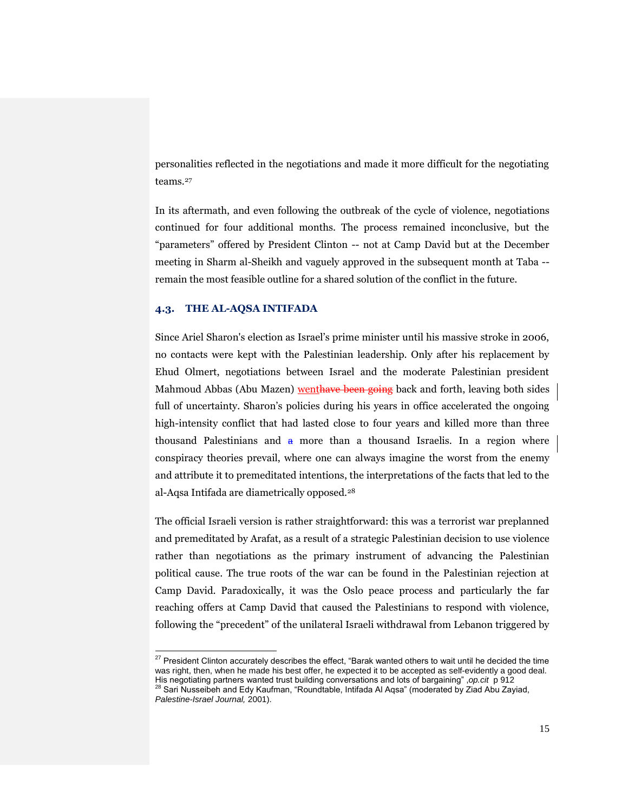personalities reflected in the negotiations and made it more difficult for the negotiating teams.<sup>27</sup>

In its aftermath, and even following the outbreak of the cycle of violence, negotiations continued for four additional months. The process remained inconclusive, but the "parameters" offered by President Clinton -- not at Camp David but at the December meeting in Sharm al-Sheikh and vaguely approved in the subsequent month at Taba - remain the most feasible outline for a shared solution of the conflict in the future.

## **4.3. THE AL-AQSA INTIFADA**

l

Since Ariel Sharon's election as Israel's prime minister until his massive stroke in 2006, no contacts were kept with the Palestinian leadership. Only after his replacement by Ehud Olmert, negotiations between Israel and the moderate Palestinian president Mahmoud Abbas (Abu Mazen) wenthave been going back and forth, leaving both sides full of uncertainty. Sharon's policies during his years in office accelerated the ongoing high-intensity conflict that had lasted close to four years and killed more than three thousand Palestinians and  $\theta$  more than a thousand Israelis. In a region where conspiracy theories prevail, where one can always imagine the worst from the enemy and attribute it to premeditated intentions, the interpretations of the facts that led to the al-Aqsa Intifada are diametrically opposed.[28](https://webacc.bsos.umd.edu/gw/webacc/lo5vk9Sl8pi2bsfEq6/GWAP/HREF/?action=Attachment.View&Item.Attachment.id=1&User.context=lo5vk9Sl8pi2bsfEq6&Item.drn=554551z8z0#_ftn45)

The official Israeli version is rather straightforward: this was a terrorist war preplanned and premeditated by Arafat, as a result of a strategic Palestinian decision to use violence rather than negotiations as the primary instrument of advancing the Palestinian political cause. The true roots of the war can be found in the Palestinian rejection at Camp David. Paradoxically, it was the Oslo peace process and particularly the far reaching offers at Camp David that caused the Palestinians to respond with violence, following the "precedent" of the unilateral Israeli withdrawal from Lebanon triggered by

 $^{27}$  President Clinton accurately describes the effect, "Barak wanted others to wait until he decided the time was right, then, when he made his best offer, he expected it to be accepted as self-evidently a good deal.

His negotiating partners wanted trust building conversations and lots of bargaining" ,*op.cit* p 912<br><sup>28</sup> Sari Nusseibeh and Edy Kaufman, "Roundtable, Intifada Al Aqsa" (moderated by Ziad Abu Zayiad, *Palestine-Israel Journal,* 2001).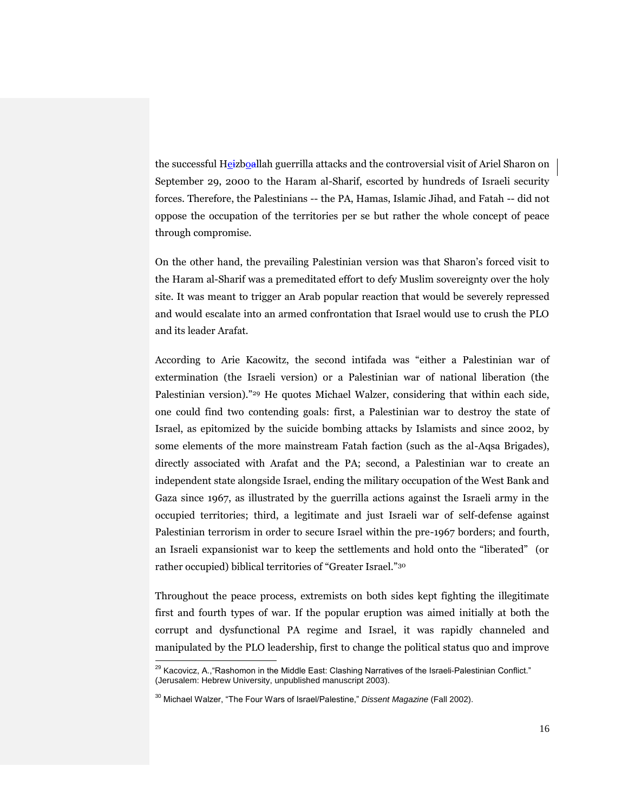the successful Heizboallah guerrilla attacks and the controversial visit of Ariel Sharon on September 29, 2000 to the Haram al-Sharif, escorted by hundreds of Israeli security forces. Therefore, the Palestinians -- the PA, Hamas, Islamic Jihad, and Fatah -- did not oppose the occupation of the territories per se but rather the whole concept of peace through compromise.

On the other hand, the prevailing Palestinian version was that Sharon's forced visit to the Haram al-Sharif was a premeditated effort to defy Muslim sovereignty over the holy site. It was meant to trigger an Arab popular reaction that would be severely repressed and would escalate into an armed confrontation that Israel would use to crush the PLO and its leader Arafat.

According to Arie Kacowitz, the second intifada was "either a Palestinian war of extermination (the Israeli version) or a Palestinian war of national liberation (the Palestinian version)."<sup>29</sup> He quotes Michael Walzer, considering that within each side, one could find two contending goals: first, a Palestinian war to destroy the state of Israel, as epitomized by the suicide bombing attacks by Islamists and since 2002, by some elements of the more mainstream Fatah faction (such as the al-Aqsa Brigades), directly associated with Arafat and the PA; second, a Palestinian war to create an independent state alongside Israel, ending the military occupation of the West Bank and Gaza since 1967, as illustrated by the guerrilla actions against the Israeli army in the occupied territories; third, a legitimate and just Israeli war of self-defense against Palestinian terrorism in order to secure Israel within the pre-1967 borders; and fourth, an Israeli expansionist war to keep the settlements and hold onto the "liberated" (or rather occupied) biblical territories of "Greater Israel."<sup>30</sup>

Throughout the peace process, extremists on both sides kept fighting the illegitimate first and fourth types of war. If the popular eruption was aimed initially at both the corrupt and dysfunctional PA regime and Israel, it was rapidly channeled and manipulated by the PLO leadership, first to change the political status quo and improve

 $^{29}$  Kacovicz, A.,"Rashomon in the Middle East: Clashing Narratives of the Israeli-Palestinian Conflict." (Jerusalem: Hebrew University, unpublished manuscript 2003).

<sup>30</sup> Michael Walzer, "The Four Wars of Israel/Palestine," *Dissent Magazine* (Fall 2002).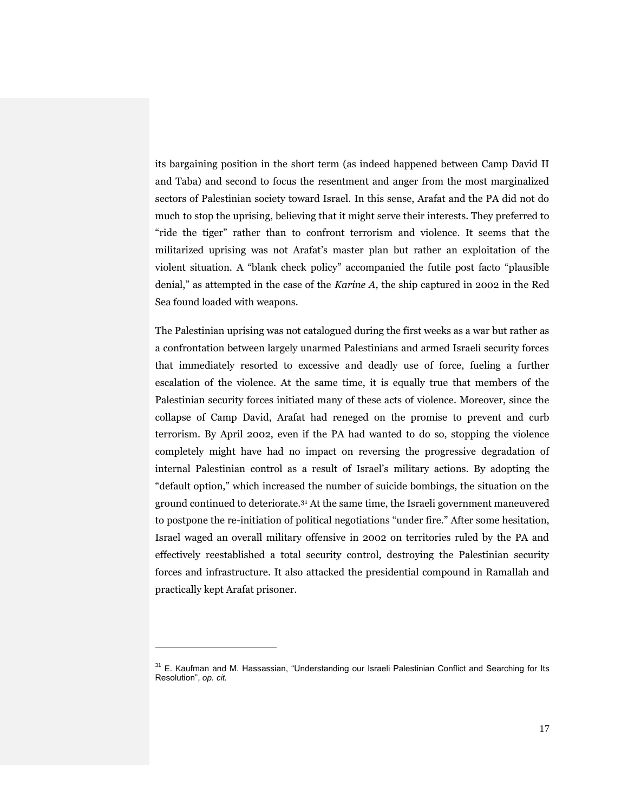its bargaining position in the short term (as indeed happened between Camp David II and Taba) and second to focus the resentment and anger from the most marginalized sectors of Palestinian society toward Israel. In this sense, Arafat and the PA did not do much to stop the uprising, believing that it might serve their interests. They preferred to "ride the tiger" rather than to confront terrorism and violence. It seems that the militarized uprising was not Arafat's master plan but rather an exploitation of the violent situation. A "blank check policy" accompanied the futile post facto "plausible denial," as attempted in the case of the *Karine A,* the ship captured in 2002 in the Red Sea found loaded with weapons.

The Palestinian uprising was not catalogued during the first weeks as a war but rather as a confrontation between largely unarmed Palestinians and armed Israeli security forces that immediately resorted to excessive and deadly use of force, fueling a further escalation of the violence. At the same time, it is equally true that members of the Palestinian security forces initiated many of these acts of violence. Moreover, since the collapse of Camp David, Arafat had reneged on the promise to prevent and curb terrorism. By April 2002, even if the PA had wanted to do so, stopping the violence completely might have had no impact on reversing the progressive degradation of internal Palestinian control as a result of Israel's military actions. By adopting the "default option," which increased the number of suicide bombings, the situation on the ground continued to deteriorate.<sup>31</sup> At the same time, the Israeli government maneuvered to postpone the re-initiation of political negotiations "under fire." After some hesitation, Israel waged an overall military offensive in 2002 on territories ruled by the PA and effectively reestablished a total security control, destroying the Palestinian security forces and infrastructure. It also attacked the presidential compound in Ramallah and practically kept Arafat prisoner.

<sup>&</sup>lt;sup>31</sup> E. Kaufman and M. Hassassian, "Understanding our Israeli Palestinian Conflict and Searching for Its Resolution", *op. cit.*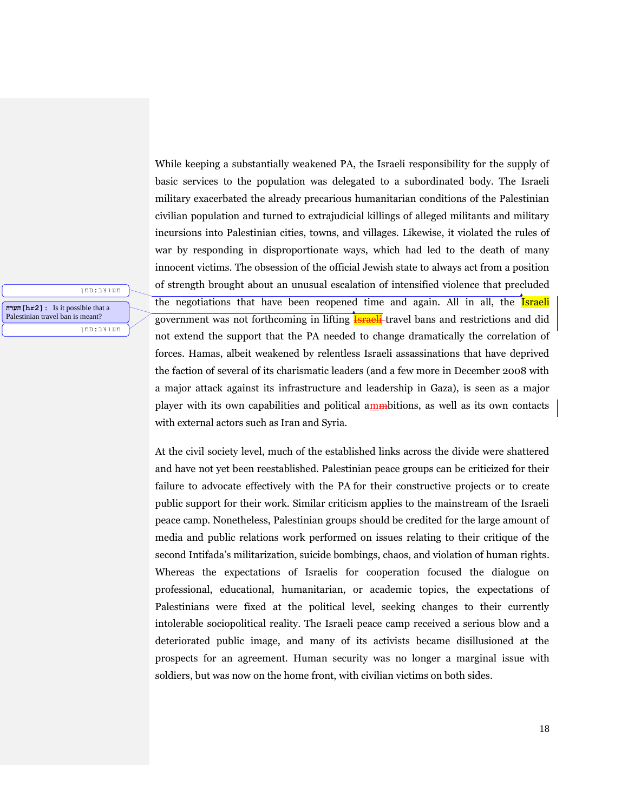While keeping a substantially weakened PA, the Israeli responsibility for the supply of basic services to the population was delegated to a subordinated body. The Israeli military exacerbated the already precarious humanitarian conditions of the Palestinian civilian population and turned to extrajudicial killings of alleged militants and military incursions into Palestinian cities, towns, and villages. Likewise, it violated the rules of war by responding in disproportionate ways, which had led to the death of many innocent victims. The obsession of the official Jewish state to always act from a position of strength brought about an unusual escalation of intensified violence that precluded the negotiations that have been reopened time and again. All in all, the Israeli government was not forthcoming in lifting **Israeli**-travel bans and restrictions and did not extend the support that the PA needed to change dramatically the correlation of forces. Hamas, albeit weakened by relentless Israeli assassinations that have deprived the faction of several of its charismatic leaders (and a few more in December 2008 with a major attack against its infrastructure and leadership in Gaza), is seen as a major player with its own capabilities and political ammbitions, as well as its own contacts with external actors such as Iran and Syria.

**הערה]hr2]:** Is it possible that a Palestinian travel ban is meant?

מעוצב:סמן

מעוצב:סמן

At the civil society level, much of the established links across the divide were shattered and have not yet been reestablished. Palestinian peace groups can be criticized for their failure to advocate effectively with the PA for their constructive projects or to create public support for their work. Similar criticism applies to the mainstream of the Israeli peace camp. Nonetheless, Palestinian groups should be credited for the large amount of media and public relations work performed on issues relating to their critique of the second Intifada's militarization, suicide bombings, chaos, and violation of human rights. Whereas the expectations of Israelis for cooperation focused the dialogue on professional, educational, humanitarian, or academic topics, the expectations of Palestinians were fixed at the political level, seeking changes to their currently intolerable sociopolitical reality. The Israeli peace camp received a serious blow and a deteriorated public image, and many of its activists became disillusioned at the prospects for an agreement. Human security was no longer a marginal issue with soldiers, but was now on the home front, with civilian victims on both sides.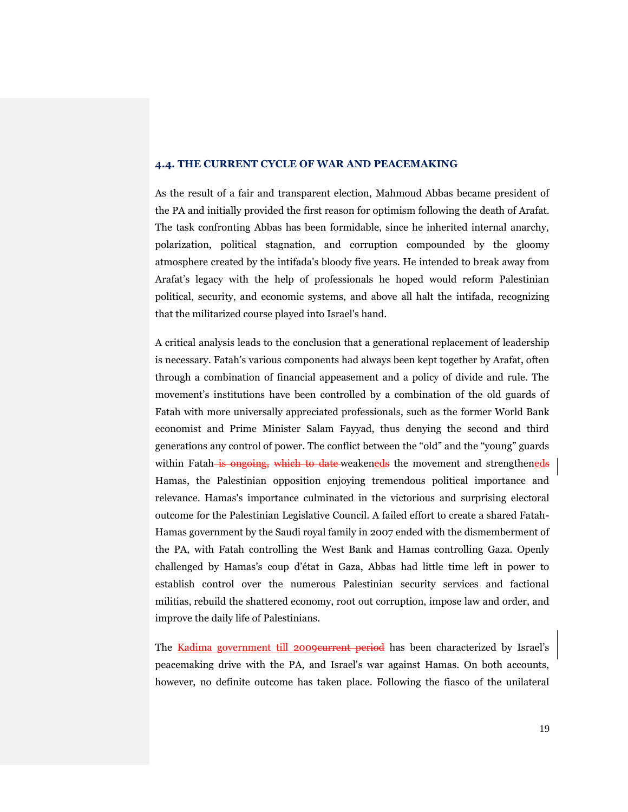## **4.4. THE CURRENT CYCLE OF WAR AND PEACEMAKING**

As the result of a fair and transparent election, Mahmoud Abbas became president of the PA and initially provided the first reason for optimism following the death of Arafat. The task confronting Abbas has been formidable, since he inherited internal anarchy, polarization, political stagnation, and corruption compounded by the gloomy atmosphere created by the intifada's bloody five years. He intended to break away from Arafat's legacy with the help of professionals he hoped would reform Palestinian political, security, and economic systems, and above all halt the intifada, recognizing that the militarized course played into Israel's hand.

A critical analysis leads to the conclusion that a generational replacement of leadership is necessary. Fatah's various components had always been kept together by Arafat, often through a combination of financial appeasement and a policy of divide and rule. The movement's institutions have been controlled by a combination of the old guards of Fatah with more universally appreciated professionals, such as the former World Bank economist and Prime Minister Salam Fayyad, thus denying the second and third generations any control of power. The conflict between the "old" and the "young" guards within Fatah is ongoing, which to date weakeneds the movement and strengtheneds Hamas, the Palestinian opposition enjoying tremendous political importance and relevance. Hamas's importance culminated in the victorious and surprising electoral outcome for the Palestinian Legislative Council. A failed effort to create a shared Fatah-Hamas government by the Saudi royal family in 2007 ended with the dismemberment of the PA, with Fatah controlling the West Bank and Hamas controlling Gaza. Openly challenged by Hamas's coup d'état in Gaza, Abbas had little time left in power to establish control over the numerous Palestinian security services and factional militias, rebuild the shattered economy, root out corruption, impose law and order, and improve the daily life of Palestinians.

The Kadima government till 2009 eurrent period has been characterized by Israel's peacemaking drive with the PA, and Israel's war against Hamas. On both accounts, however, no definite outcome has taken place. Following the fiasco of the unilateral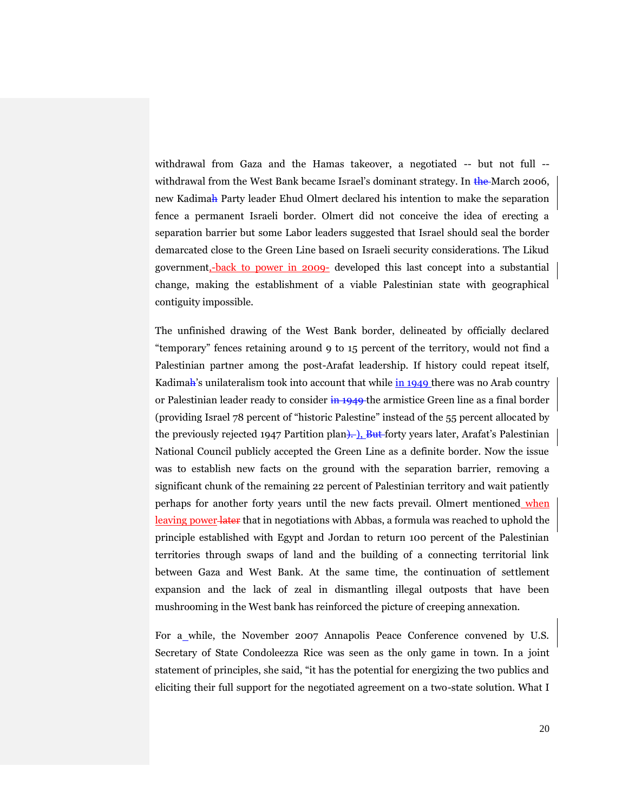withdrawal from Gaza and the Hamas takeover, a negotiated -- but not full - withdrawal from the West Bank became Israel's dominant strategy. In  $\frac{1}{2}$  and  $\frac{1}{2}$  and  $\frac{1}{2}$  and  $\frac{1}{2}$  and  $\frac{1}{2}$  and  $\frac{1}{2}$  and  $\frac{1}{2}$  and  $\frac{1}{2}$  and  $\frac{1}{2}$  and  $\frac{1}{2}$  and  $\frac{1}{2}$  and new Kadimah Party leader Ehud Olmert declared his intention to make the separation fence a permanent Israeli border. Olmert did not conceive the idea of erecting a separation barrier but some Labor leaders suggested that Israel should seal the border demarcated close to the Green Line based on Israeli security considerations. The Likud government,-back to power in 2009- developed this last concept into a substantial change, making the establishment of a viable Palestinian state with geographical contiguity impossible.

The unfinished drawing of the West Bank border, delineated by officially declared "temporary" fences retaining around 9 to 15 percent of the territory, would not find a Palestinian partner among the post-Arafat leadership. If history could repeat itself, Kadimah's unilateralism took into account that while in 1949 there was no Arab country or Palestinian leader ready to consider in 1949 the armistice Green line as a final border (providing Israel 78 percent of "historic Palestine" instead of the 55 percent allocated by the previously rejected 1947 Partition plan). But forty years later, Arafat's Palestinian National Council publicly accepted the Green Line as a definite border. Now the issue was to establish new facts on the ground with the separation barrier, removing a significant chunk of the remaining 22 percent of Palestinian territory and wait patiently perhaps for another forty years until the new facts prevail. Olmert mentioned when leaving power later that in negotiations with Abbas, a formula was reached to uphold the principle established with Egypt and Jordan to return 100 percent of the Palestinian territories through swaps of land and the building of a connecting territorial link between Gaza and West Bank. At the same time, the continuation of settlement expansion and the lack of zeal in dismantling illegal outposts that have been mushrooming in the West bank has reinforced the picture of creeping annexation.

For a while, the November 2007 Annapolis Peace Conference convened by U.S. Secretary of State Condoleezza Rice was seen as the only game in town. In a joint statement of principles, she said, "it has the potential for energizing the two publics and eliciting their full support for the negotiated agreement on a two-state solution. What I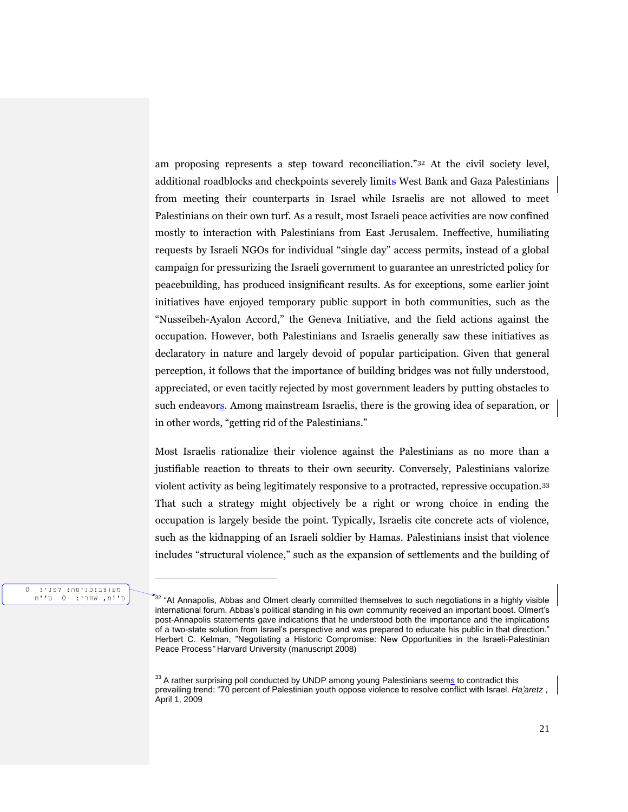am proposing represents a step toward reconciliation."<sup>32</sup> At the civil society level, additional roadblocks and checkpoints severely limits West Bank and Gaza Palestinians from meeting their counterparts in Israel while Israelis are not allowed to meet Palestinians on their own turf. As a result, most Israeli peace activities are now confined mostly to interaction with Palestinians from East Jerusalem. Ineffective, humiliating requests by Israeli NGOs for individual "single day" access permits, instead of a global campaign for pressurizing the Israeli government to guarantee an unrestricted policy for peacebuilding, has produced insignificant results. As for exceptions, some earlier joint initiatives have enjoyed temporary public support in both communities, such as the "Nusseibeh-Ayalon Accord," the Geneva Initiative, and the field actions against the occupation. However, both Palestinians and Israelis generally saw these initiatives as declaratory in nature and largely devoid of popular participation. Given that general perception, it follows that the importance of building bridges was not fully understood, appreciated, or even tacitly rejected by most government leaders by putting obstacles to such endeavors. Among mainstream Israelis, there is the growing idea of separation, or in other words, "getting rid of the Palestinians."

Most Israelis rationalize their violence against the Palestinians as no more than a justifiable reaction to threats to their own security. Conversely, Palestinians valorize violent activity as being legitimately responsive to a protracted, repressive occupation.<sup>33</sup> That such a strategy might objectively be a right or wrong choice in ending the occupation is largely beside the point. Typically, Israelis cite concrete acts of violence, such as the kidnapping of an Israeli soldier by Hamas. Palestinians insist that violence includes "structural violence," such as the expansion of settlements and the building of

#### מעוצב:כניסה: לפני: 0 ס''מ, אחרי: 0 ס''מ

 $^*$ <sup>32</sup> "At Annapolis, Abbas and Olmert clearly committed themselves to such negotiations in a highly visible international forum. Abbas's political standing in his own community received an important boost. Olmert's post-Annapolis statements gave indications that he understood both the importance and the implications of a two-state solution from Israel's perspective and was prepared to educate his public in that direction." Herbert C. Kelman, "Negotiating a Historic Compromise: New Opportunities in the Israeli-Palestinian Peace Process*"* Harvard University (manuscript 2008)

<sup>&</sup>lt;sup>33</sup> A rather surprising poll conducted by UNDP among young Palestinians seems to contradict this prevailing trend: "70 percent of Palestinian youth oppose violence to resolve conflict with Israel. *Ha'aretz* , April 1, 2009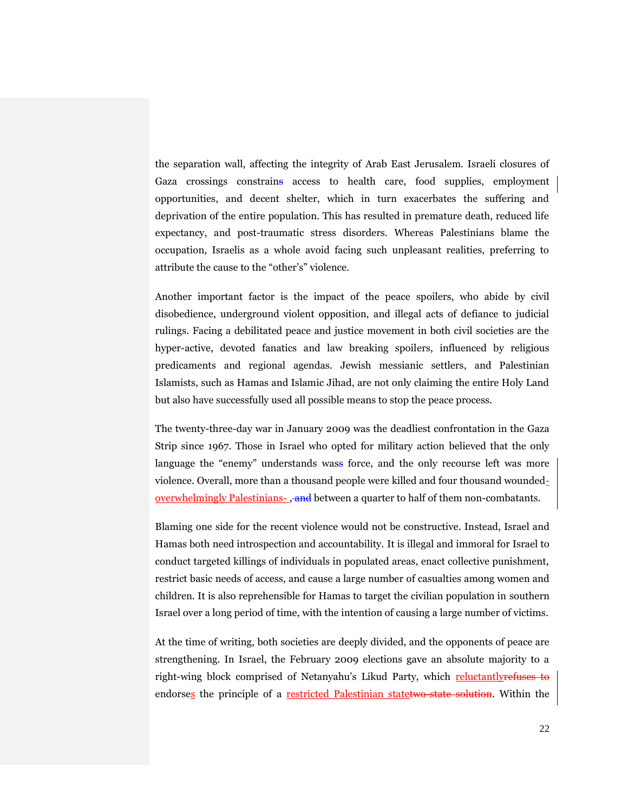the separation wall, affecting the integrity of Arab East Jerusalem. Israeli closures of Gaza crossings constrains access to health care, food supplies, employment opportunities, and decent shelter, which in turn exacerbates the suffering and deprivation of the entire population. This has resulted in premature death, reduced life expectancy, and post-traumatic stress disorders. Whereas Palestinians blame the occupation, Israelis as a whole avoid facing such unpleasant realities, preferring to attribute the cause to the "other's" violence.

Another important factor is the impact of the peace spoilers, who abide by civil disobedience, underground violent opposition, and illegal acts of defiance to judicial rulings. Facing a debilitated peace and justice movement in both civil societies are the hyper-active, devoted fanatics and law breaking spoilers, influenced by religious predicaments and regional agendas. Jewish messianic settlers, and Palestinian Islamists, such as Hamas and Islamic Jihad, are not only claiming the entire Holy Land but also have successfully used all possible means to stop the peace process.

The twenty-three-day war in January 2009 was the deadliest confrontation in the Gaza Strip since 1967. Those in Israel who opted for military action believed that the only language the "enemy" understands wass force, and the only recourse left was more violence. Overall, more than a thousand people were killed and four thousand woundedoverwhelmingly Palestinians- , and between a quarter to half of them non-combatants.

Blaming one side for the recent violence would not be constructive. Instead, Israel and Hamas both need introspection and accountability. It is illegal and immoral for Israel to conduct targeted killings of individuals in populated areas, enact collective punishment, restrict basic needs of access, and cause a large number of casualties among women and children. It is also reprehensible for Hamas to target the civilian population in southern Israel over a long period of time, with the intention of causing a large number of victims.

At the time of writing, both societies are deeply divided, and the opponents of peace are strengthening. In Israel, the February 2009 elections gave an absolute majority to a right-wing block comprised of Netanyahu's Likud Party, which reluctantlyrefuses to endorses the principle of a restricted Palestinian statetwo-state solution. Within the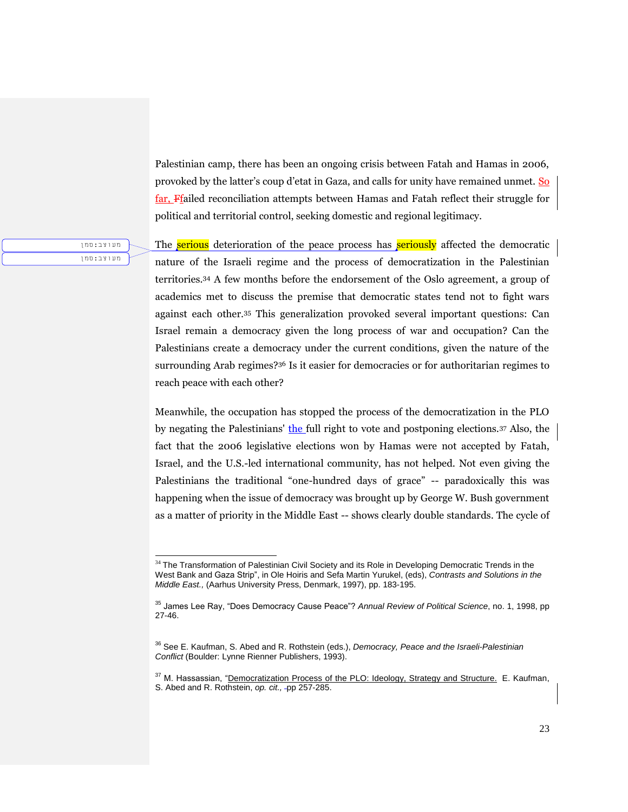Palestinian camp, there has been an ongoing crisis between Fatah and Hamas in 2006, provoked by the latter's coup d'etat in Gaza, and calls for unity have remained unmet. So far, Ffailed reconciliation attempts between Hamas and Fatah reflect their struggle for political and territorial control, seeking domestic and regional legitimacy.

מעוצב:סמן מעוצב:סמן

l

The serious deterioration of the peace process has seriously affected the democratic nature of the Israeli regime and the process of democratization in the Palestinian territories.<sup>34</sup> A few months before the endorsement of the Oslo agreement, a group of academics met to discuss the premise that democratic states tend not to fight wars against each other.<sup>35</sup> This generalization provoked several important questions: Can Israel remain a democracy given the long process of war and occupation? Can the Palestinians create a democracy under the current conditions, given the nature of the surrounding Arab regimes?<sup>36</sup> Is it easier for democracies or for authoritarian regimes to reach peace with each other?

Meanwhile, the occupation has stopped the process of the democratization in the PLO by negating the Palestinians' the full right to vote and postponing elections.[37](https://webacc.bsos.umd.edu/gw/webacc/lo5vk9Sl8pi2bsfEq6/GWAP/HREF/?action=Attachment.View&Item.Attachment.id=1&User.context=lo5vk9Sl8pi2bsfEq6&Item.drn=554551z8z0#_ftn50) Also, the fact that the 2006 legislative elections won by Hamas were not accepted by Fatah, Israel, and the U.S.-led international community, has not helped. Not even giving the Palestinians the traditional "one-hundred days of grace" -- paradoxically this was happening when the issue of democracy was brought up by George W. Bush government as a matter of priority in the Middle East -- shows clearly double standards. The cycle of

<sup>&</sup>lt;sup>34</sup> The Transformation of Palestinian Civil Society and its Role in Developing Democratic Trends in the West Bank and Gaza Strip", in Ole Hoiris and Sefa Martin Yurukel, (eds), *Contrasts and Solutions in the Middle East.,* (Aarhus University Press, Denmark, 1997), pp. 183-195.

<sup>35</sup> James Lee Ray, "Does Democracy Cause Peace"? *Annual Review of Political Science*, no. 1, 1998, pp 27-46.

<sup>36</sup> See E. Kaufman, S. Abed and R. Rothstein (eds.), *Democracy, Peace and the Israeli-Palestinian Conflict* (Boulder: Lynne Rienner Publishers, 1993).

<sup>&</sup>lt;sup>37</sup> M. Hassassian, "Democratization Process of the PLO: Ideology, Strategy and Structure. E. Kaufman, S. Abed and R. Rothstein, *op. cit.,* pp 257-285.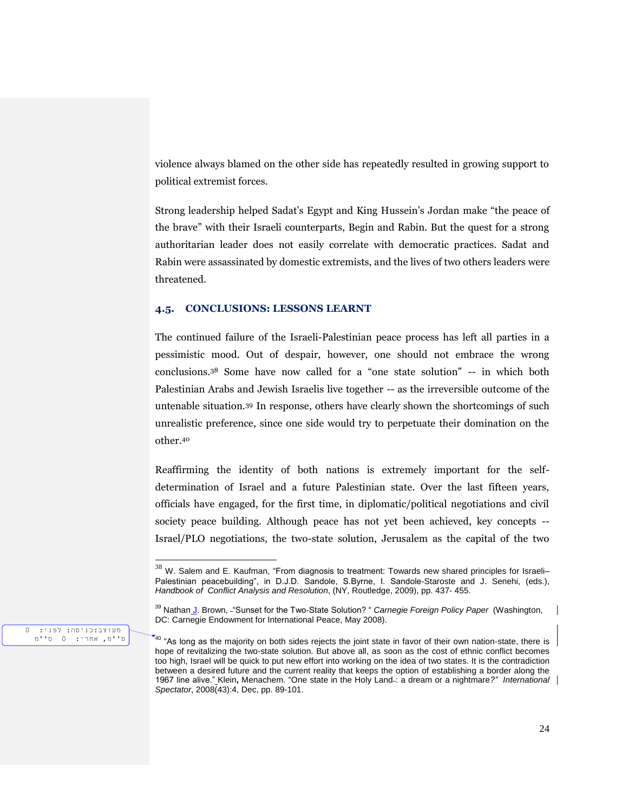violence always blamed on the other side has repeatedly resulted in growing support to political extremist forces.

Strong leadership helped Sadat's Egypt and King Hussein's Jordan make "the peace of the brave" with their Israeli counterparts, Begin and Rabin. But the quest for a strong authoritarian leader does not easily correlate with democratic practices. Sadat and Rabin were assassinated by domestic extremists, and the lives of two others leaders were threatened.

#### **4.5. CONCLUSIONS: LESSONS LEARNT**

The continued failure of the Israeli-Palestinian peace process has left all parties in a pessimistic mood. Out of despair, however, one should not embrace the wrong conclusions.<sup>38</sup> Some have now called for a "one state solution" -- in which both Palestinian Arabs and Jewish Israelis live together -- as the irreversible outcome of the untenable situation.<sup>39</sup> In response, others have clearly shown the shortcomings of such unrealistic preference, since one side would try to perpetuate their domination on the other.<sup>40</sup>

Reaffirming the identity of both nations is extremely important for the selfdetermination of Israel and a future Palestinian state. Over the last fifteen years, officials have engaged, for the first time, in diplomatic/political negotiations and civil society peace building. Although peace has not yet been achieved, key concepts -- Israel/PLO negotiations, the two-state solution, Jerusalem as the capital of the two

מעוצב:כניסה: לפני: 0 ס''מ, אחרי: 0 ס''מ

 $^{38}$  W. Salem and E. Kaufman, "From diagnosis to treatment: Towards new shared principles for Israeli– Palestinian peacebuilding", in D.J.D. Sandole, S.Byrne, I. Sandole-Staroste and J. Senehi, (eds.), *Handbook of Conflict Analysis and Resolution*, (NY, Routledge, 2009), pp. 437- 455.

<sup>39</sup> Nathan J. Brown, "Sunset for the Two-State Solution? " *Carnegie Foreign Policy Paper* (Washington, DC: Carnegie Endowment for International Peace, May 2008).

 $*$ <sup>40</sup> "As long as the majority on both sides rejects the joint state in favor of their own nation-state, there is hope of revitalizing the two-state solution. But above all, as soon as the cost of ethnic conflict becomes too high, Israel will be quick to put new effort into working on the idea of two states. It is the contradiction between a desired future and the current reality that keeps the option of establishing a border along the 1967 line alive." Klein**,** Menachem. "One state in the Holy Land : a dream or a nightmare*?" International Spectator*, 2008(43):4, Dec, pp. 89-101.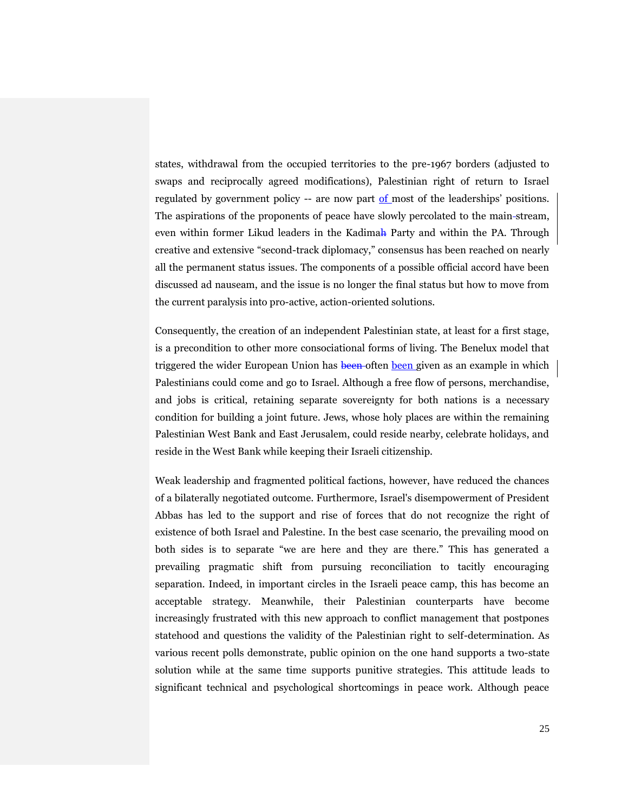states, withdrawal from the occupied territories to the pre-1967 borders (adjusted to swaps and reciprocally agreed modifications), Palestinian right of return to Israel regulated by government policy -- are now part of most of the leaderships' positions. The aspirations of the proponents of peace have slowly percolated to the main stream, even within former Likud leaders in the Kadimah Party and within the PA. Through creative and extensive "second-track diplomacy," consensus has been reached on nearly all the permanent status issues. The components of a possible official accord have been discussed ad nauseam, and the issue is no longer the final status but how to move from the current paralysis into pro-active, action-oriented solutions.

Consequently, the creation of an independent Palestinian state, at least for a first stage, is a precondition to other more consociational forms of living. The Benelux model that triggered the wider European Union has been often been given as an example in which Palestinians could come and go to Israel. Although a free flow of persons, merchandise, and jobs is critical, retaining separate sovereignty for both nations is a necessary condition for building a joint future. Jews, whose holy places are within the remaining Palestinian West Bank and East Jerusalem, could reside nearby, celebrate holidays, and reside in the West Bank while keeping their Israeli citizenship.

Weak leadership and fragmented political factions, however, have reduced the chances of a bilaterally negotiated outcome. Furthermore, Israel's disempowerment of President Abbas has led to the support and rise of forces that do not recognize the right of existence of both Israel and Palestine. In the best case scenario, the prevailing mood on both sides is to separate "we are here and they are there." This has generated a prevailing pragmatic shift from pursuing reconciliation to tacitly encouraging separation. Indeed, in important circles in the Israeli peace camp, this has become an acceptable strategy. Meanwhile, their Palestinian counterparts have become increasingly frustrated with this new approach to conflict management that postpones statehood and questions the validity of the Palestinian right to self-determination. As various recent polls demonstrate, public opinion on the one hand supports a two-state solution while at the same time supports punitive strategies. This attitude leads to significant technical and psychological shortcomings in peace work. Although peace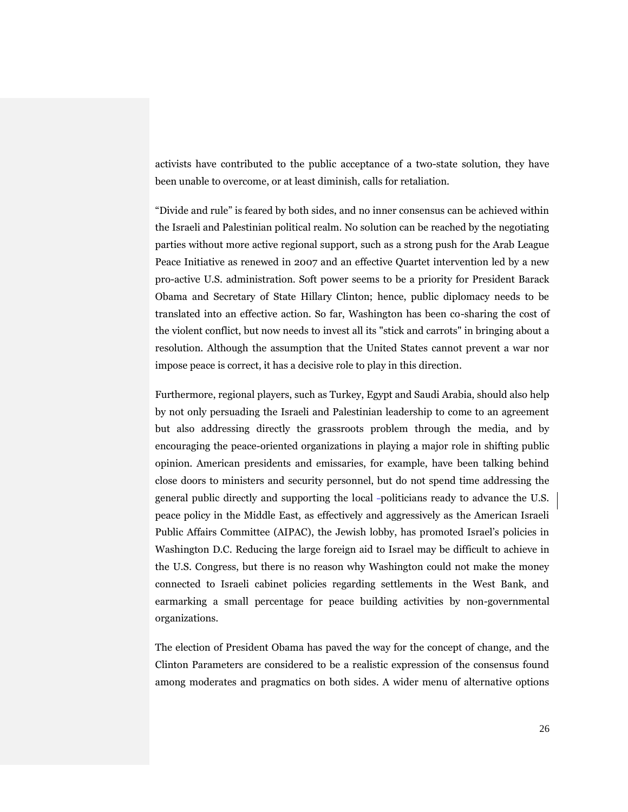activists have contributed to the public acceptance of a two-state solution, they have been unable to overcome, or at least diminish, calls for retaliation.

"Divide and rule" is feared by both sides, and no inner consensus can be achieved within the Israeli and Palestinian political realm. No solution can be reached by the negotiating parties without more active regional support, such as a strong push for the Arab League Peace Initiative as renewed in 2007 and an effective Quartet intervention led by a new pro-active U.S. administration. Soft power seems to be a priority for President Barack Obama and Secretary of State Hillary Clinton; hence, public diplomacy needs to be translated into an effective action. So far, Washington has been co-sharing the cost of the violent conflict, but now needs to invest all its "stick and carrots" in bringing about a resolution. Although the assumption that the United States cannot prevent a war nor impose peace is correct, it has a decisive role to play in this direction.

Furthermore, regional players, such as Turkey, Egypt and Saudi Arabia, should also help by not only persuading the Israeli and Palestinian leadership to come to an agreement but also addressing directly the grassroots problem through the media, and by encouraging the peace-oriented organizations in playing a major role in shifting public opinion. American presidents and emissaries, for example, have been talking behind close doors to ministers and security personnel, but do not spend time addressing the general public directly and supporting the local -politicians ready to advance the U.S. peace policy in the Middle East, as effectively and aggressively as the American Israeli Public Affairs Committee (AIPAC), the Jewish lobby, has promoted Israel's policies in Washington D.C. Reducing the large foreign aid to Israel may be difficult to achieve in the U.S. Congress, but there is no reason why Washington could not make the money connected to Israeli cabinet policies regarding settlements in the West Bank, and earmarking a small percentage for peace building activities by non-governmental organizations.

The election of President Obama has paved the way for the concept of change, and the Clinton Parameters are considered to be a realistic expression of the consensus found among moderates and pragmatics on both sides. A wider menu of alternative options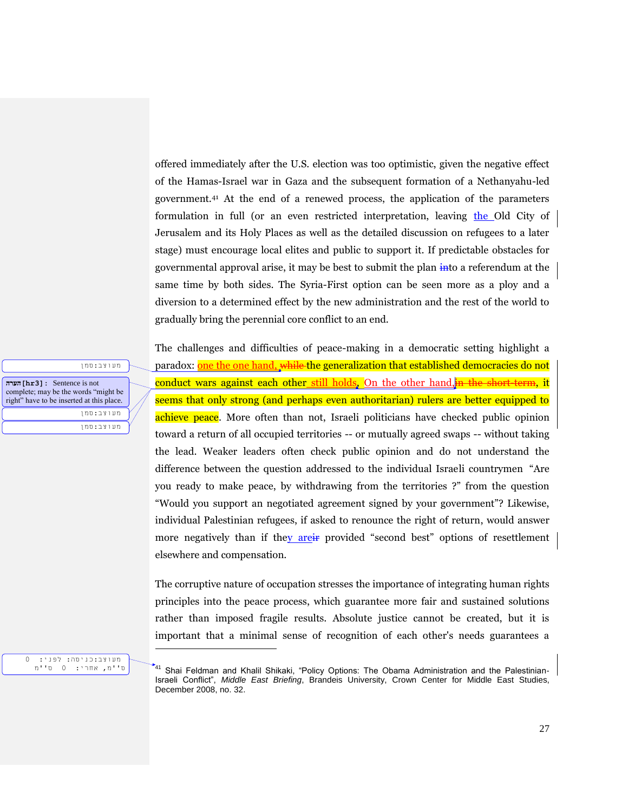offered immediately after the U.S. election was too optimistic, given the negative effect of the Hamas-Israel war in Gaza and the subsequent formation of a Nethanyahu-led government.<sup>41</sup> At the end of a renewed process, the application of the parameters formulation in full (or an even restricted interpretation, leaving the Old City of Jerusalem and its Holy Places as well as the detailed discussion on refugees to a later stage) must encourage local elites and public to support it. If predictable obstacles for governmental approval arise, it may be best to submit the plan into a referendum at the same time by both sides. The Syria-First option can be seen more as a ploy and a diversion to a determined effect by the new administration and the rest of the world to gradually bring the perennial core conflict to an end.

The challenges and difficulties of peace-making in a democratic setting highlight a paradox: one the one hand, while the generalization that established democracies do not conduct wars against each other still holds, On the other hand, in the short-term, it seems that only strong (and perhaps even authoritarian) rulers are better equipped to achieve peace. More often than not, Israeli politicians have checked public opinion toward a return of all occupied territories -- or mutually agreed swaps -- without taking the lead. Weaker leaders often check public opinion and do not understand the difference between the question addressed to the individual Israeli countrymen "Are you ready to make peace, by withdrawing from the territories ?" from the question "Would you support an negotiated agreement signed by your government"? Likewise, individual Palestinian refugees, if asked to renounce the right of return, would answer more negatively than if they are if provided "second best" options of resettlement elsewhere and compensation.

The corruptive nature of occupation stresses the importance of integrating human rights principles into the peace process, which guarantee more fair and sustained solutions rather than imposed fragile results. Absolute justice cannot be created, but it is important that a minimal sense of recognition of each other's needs guarantees a

מעוצב:כניסה: לפני: 0 ס''מ, אחרי: 0 ס''מ l

מעוצב:סמן **הערה]hr3]:** Sentence is not complete; may be the words "might be right" have to be inserted at this place. מעוצב:סמן

מעוצב:סמן

<sup>41</sup> Shai Feldman and Khalil Shikaki, "Policy Options: The Obama Administration and the Palestinian-Israeli Conflict", *Middle East Briefing*, Brandeis University, Crown Center for Middle East Studies, December 2008, no. 32.